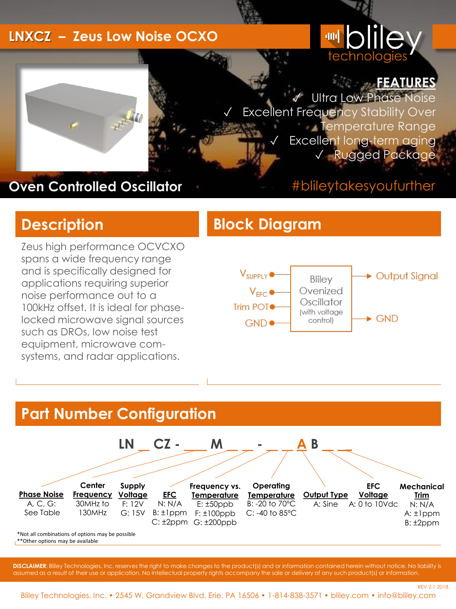#### **LNXCZ – Zeus Low Noise OCXO**

# <sup>,</sup> olile technologie

#### **FEATURES**

REV 2.1 2018

**Ultra Low Phase Noise Excellent Frequency Stability Over** Temperature Range Excellent long-term aging ✓ Rugged Package

#### **Oven Controlled Oscillator**

#### #blileytakesyoufurther

Zeus high performance OCVCXO spans a wide frequency range and is specifically designed for applications requiring superior noise performance out to a 100kHz offset. It is ideal for phaselocked microwave signal sources such as DROs, low noise test equipment, microwave comsystems, and radar applications.

#### **Description Block Diagram**



## **Part Number Configuration**

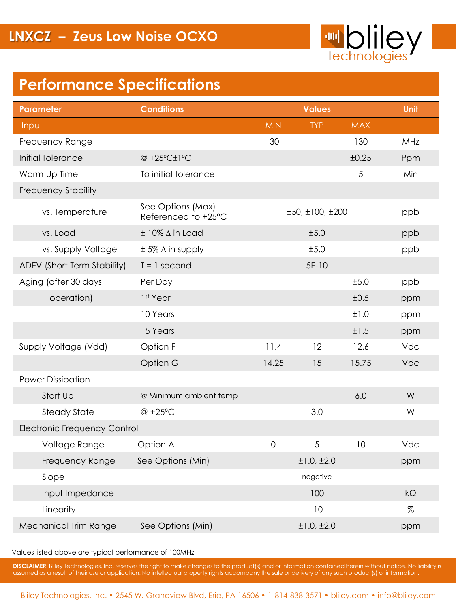

## **Performance Specifications**

| <b>Parameter</b>                    | <b>Conditions</b>                        |                 | Unit       |            |           |  |
|-------------------------------------|------------------------------------------|-----------------|------------|------------|-----------|--|
| Inpu                                |                                          | <b>MIN</b>      | <b>TYP</b> | <b>MAX</b> |           |  |
| Frequency Range                     |                                          | 30              |            | 130        | MHz       |  |
| Initial Tolerance                   | @ +25°C±1°C                              |                 |            | ±0.25      | Ppm       |  |
| Warm Up Time                        | To initial tolerance                     |                 |            | 5          | Min       |  |
| <b>Frequency Stability</b>          |                                          |                 |            |            |           |  |
| vs. Temperature                     | See Options (Max)<br>Referenced to +25°C | ±50, ±100, ±200 | ppb        |            |           |  |
| vs. Load                            | $±$ 10% $\Delta$ in Load                 |                 | ±5.0       |            | ppb       |  |
| vs. Supply Voltage                  | $\pm$ 5% $\Delta$ in supply              |                 | ±5.0       |            | ppb       |  |
| ADEV (Short Term Stability)         | $T = 1$ second                           |                 | 5E-10      |            |           |  |
| Aging (after 30 days                | Per Day                                  |                 |            | ±5.0       | ppb       |  |
| operation)                          | 1 <sup>st</sup> Year                     |                 |            | ±0.5       | ppm       |  |
|                                     | 10 Years                                 |                 |            | ±1.0       | ppm       |  |
|                                     | 15 Years                                 |                 |            | ±1.5       | ppm       |  |
| Supply Voltage (Vdd)                | Option F                                 | 11.4            | 12         | 12.6       | Vdc       |  |
|                                     | Option G                                 | 14.25           | 15         | 15.75      | Vdc       |  |
| <b>Power Dissipation</b>            |                                          |                 |            |            |           |  |
| Start Up                            | @ Minimum ambient temp                   |                 |            | 6.0        | W         |  |
| <b>Steady State</b>                 | @ +25°C                                  |                 | 3.0        |            | W         |  |
| <b>Electronic Frequency Control</b> |                                          |                 |            |            |           |  |
| Voltage Range                       | Option A                                 | $\mathbf 0$     | 5          | 10         | Vdc       |  |
| Frequency Range                     | See Options (Min)                        |                 | ±1.0, ±2.0 |            | ppm       |  |
| Slope                               |                                          | negative        |            |            |           |  |
| Input Impedance                     |                                          |                 | 100        |            | $k\Omega$ |  |
| Linearity                           |                                          |                 | 10         |            | $\%$      |  |
| <b>Mechanical Trim Range</b>        | See Options (Min)                        |                 | ±1.0,±2.0  |            | ppm       |  |

Values listed above are typical performance of 100MHz

**DISCLAIMER**: Bliley Technologies, Inc. reserves the right to make changes to the product(s) and or information contained herein without notice. No liability is assumed as a result of their use or application. No intellectual property rights accompany the sale or delivery of any such product(s) or information.

Bliley Technologies, Inc. • 2545 W. Grandview Blvd, Erie, PA 16506 • 1-814-838-3571 • bliley.com • info@bliley.com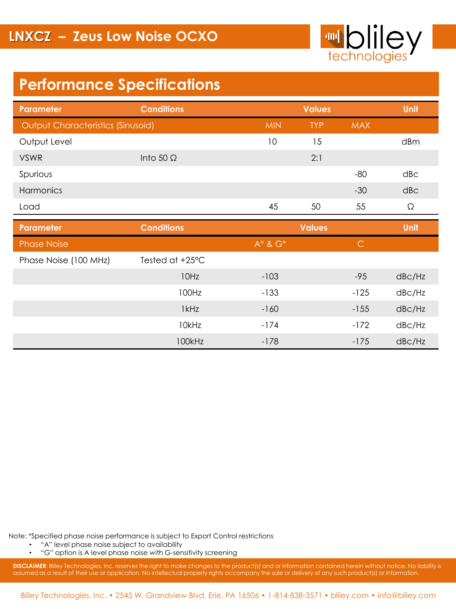

## **Performance Specifications**

| Parameter                                | <b>Conditions</b> |               | <b>Values</b> |              | <b>Unit</b>         |
|------------------------------------------|-------------------|---------------|---------------|--------------|---------------------|
| <b>Output Characteristics (Sinusoid)</b> |                   | <b>MIN</b>    | <b>TYP</b>    | <b>MAX</b>   |                     |
| Output Level                             |                   | 10            | 15            |              | dBm                 |
| <b>VSWR</b>                              | Into 50 $\Omega$  |               | 2:1           |              |                     |
| Spurious                                 |                   |               |               | $-80$        | dB <sub>C</sub>     |
| Harmonics                                |                   |               |               | $-30$        | dB <sub>C</sub>     |
| Load                                     |                   | 45            | 50            | 55           | Ω                   |
| <b>Parameter</b>                         | <b>Conditions</b> |               | <b>Values</b> |              | Unit                |
| <b>Phase Noise</b>                       |                   | $A^*$ & $G^*$ |               | $\mathsf{C}$ |                     |
| Phase Noise (100 MHz)                    | Tested at +25°C   |               |               |              |                     |
|                                          | 10Hz              | $-103$        |               | $-95$        | dB <sub>C</sub> /Hz |
|                                          | 100Hz             | $-133$        |               | $-125$       | dB <sub>C</sub> /Hz |
|                                          | 1kHz              | $-160$        |               | $-155$       | dB <sub>C</sub> /Hz |
|                                          | 10kHz             | $-174$        |               | $-172$       | dBc/Hz              |
|                                          | 100kHz            | $-178$        |               | $-175$       | dB <sub>C</sub> /Hz |

Note: \*Specified phase noise performance is subject to Export Control restrictions

• "A" level phase noise subject to availability

• "G" option is A level phase noise with G-sensitivity screening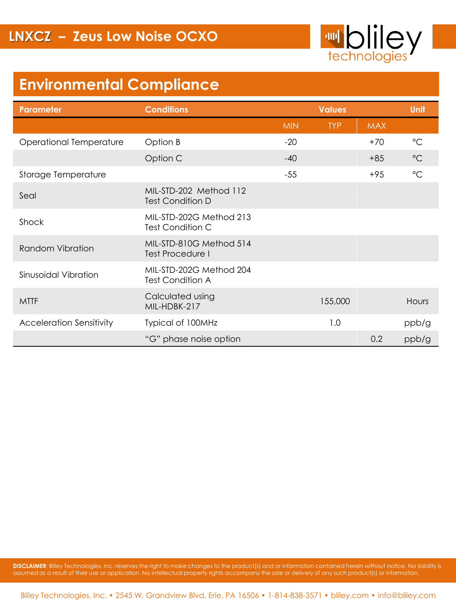

## **Environmental Compliance**

| <b>Parameter</b>                | <b>Conditions</b>                                  |            | <b>Values</b> |            |                 |
|---------------------------------|----------------------------------------------------|------------|---------------|------------|-----------------|
|                                 |                                                    | <b>MIN</b> | <b>TYP</b>    | <b>MAX</b> |                 |
| Operational Temperature         | Option B                                           | $-20$      |               | $+70$      | $\rm ^{\circ}C$ |
|                                 | Option C                                           | $-40$      |               | $+85$      | $^{\circ}C$     |
| Storage Temperature             |                                                    | $-55$      |               | $+95$      | $^{\circ}C$     |
| Seal                            | MIL-STD-202 Method 112<br><b>Test Condition D</b>  |            |               |            |                 |
| Shock                           | MIL-STD-202G Method 213<br>Test Condition C        |            |               |            |                 |
| <b>Random Vibration</b>         | MIL-STD-810G Method 514<br><b>Test Procedure I</b> |            |               |            |                 |
| Sinusoidal Vibration            | MIL-STD-202G Method 204<br><b>Test Condition A</b> |            |               |            |                 |
| <b>MTTF</b>                     | Calculated using<br>MIL-HDBK-217                   |            | 155,000       |            | Hours           |
| <b>Acceleration Sensitivity</b> | Typical of 100MHz                                  |            | 1.0           |            | ppb/g           |
|                                 | "G" phase noise option                             |            |               | 0.2        | ppb/g           |